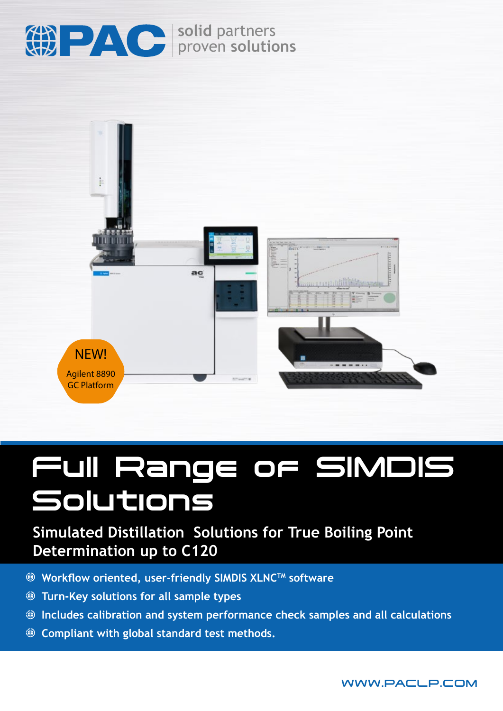

**solid** partners proven **solutions**



# Full Range of SIMDIS Solutions

## **Simulated Distillation Solutions for True Boiling Point Determination up to C120**

- **<sup>●</sup> Workflow oriented, user-friendly SIMDIS XLNC<sup>™</sup> software**
- **Turn-Key solutions for all sample types**
- **Includes calibration and system performance check samples and all calculations**
- **Compliant with global standard test methods.**

WWW.PACLP.COM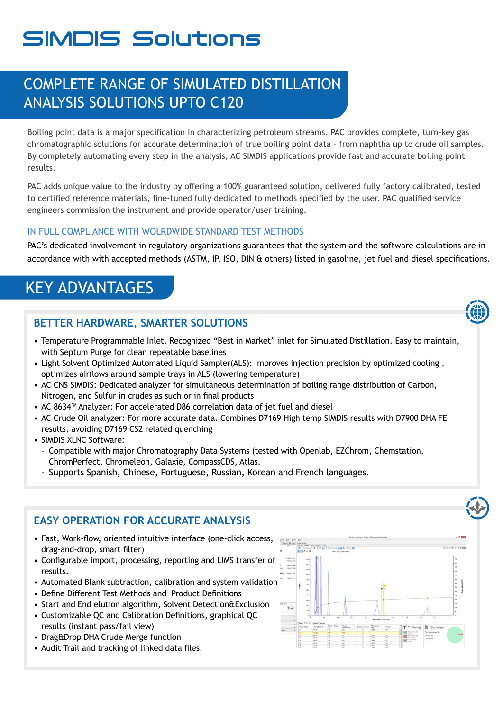## SIMDIS Solutions

### COMPLETE RANGE OF SIMULATED DISTILLATION ANALYSIS SOLUTIONS UPTO C120

Boiling point data is a major specification in characterizing petroleum streams. PAC provides complete, turn-key gas chromatographic solutions for accurate determination of true boiling point data – from naphtha up to crude oil samples. By completely automating every step in the analysis, AC SIMDIS applications provide fast and accurate boiling point results.

PAC adds unique value to the industry by offering a 100% guaranteed solution, delivered fully factory calibrated, tested to certified reference materials, fine-tuned fully dedicated to methods specified by the user. PAC qualified service engineers commission the instrument and provide operator/user training.

#### IN FULL COMPLIANCE WITH WOLRDWIDE STANDARD TEST METHODS

PAC's dedicated involvement in regulatory organizations guarantees that the system and the software calculations are in accordance with with accepted methods (ASTM, IP, ISO, DIN & others) listed in gasoline, jet fuel and diesel specifications.

## KEY ADVANTAGES

#### **BETTER HARDWARE, SMARTER SOLUTIONS**

- Temperature Programmable Inlet. Recognized "Best in Market" inlet for Simulated Distillation. Easy to maintain, with Septum Purge for clean repeatable baselines
- Light Solvent Optimized Automated Liquid Sampler(ALS): Improves injection precision by optimized cooling , optimizes airflows around sample trays in ALS (lowering temperature)
- AC CNS SIMDIS: Dedicated analyzer for simultaneous determination of boiling range distribution of Carbon, Nitrogen, and Sulfur in crudes as such or in final products
- AC 8634™ Analyzer: For accelerated D86 correlation data of jet fuel and diesel
- AC Crude Oil analyzer: For more accurate data. Combines D7169 High temp SIMDIS results with D7900 DHA FE results, avoiding D7169 CS2 related quenching
- SIMDIS XLNC Software:
	- Compatible with major Chromatography Data Systems (tested with Openlab, EZChrom, Chemstation, ChromPerfect, Chromeleon, Galaxie, CompassCDS, Atlas.
	- Supports Spanish, Chinese, Portuguese, Russian, Korean and French languages.

#### **EASY OPERATION FOR ACCURATE ANALYSIS**

- Fast, Work-flow, oriented intuitive interface (one-click access, drag-and-drop, smart filter)
- Configurable import, processing, reporting and LIMS transfer of results.
- Automated Blank subtraction, calibration and system validation
- Define Different Test Methods and Product Definitions
- Start and End elution algorithm, Solvent Detection&Exclusion • Customizable QC and Calibration Definitions, graphical QC
- results (instant pass/fail view)
- Drag&Drop DHA Crude Merge function
- Audit Trail and tracking of linked data files.

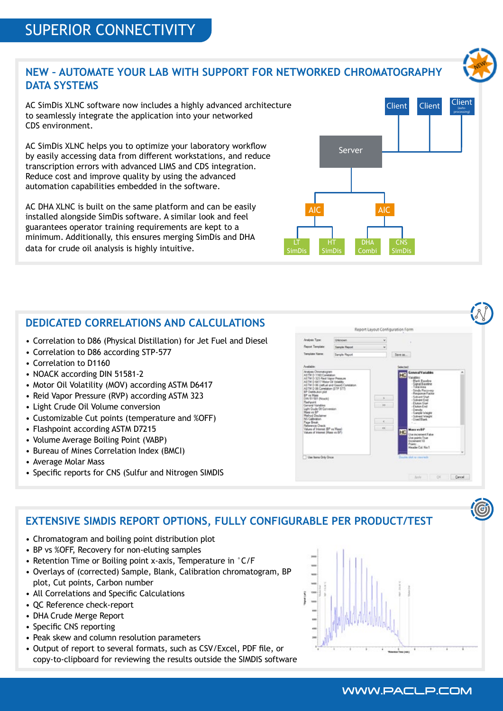#### **NEW – AUTOMATE YOUR LAB WITH SUPPORT FOR NETWORKED CHROMATOGRAPHY DATA SYSTEMS**

AC SimDis XLNC software now includes a highly advanced architecture to seamlessly integrate the application into your networked CDS environment.

AC SimDis XLNC helps you to optimize your laboratory workflow by easily accessing data from different workstations, and reduce transcription errors with advanced LIMS and CDS integration. Reduce cost and improve quality by using the advanced automation capabilities embedded in the software.

AC DHA XLNC is built on the same platform and can be easily installed alongside SimDis software. A similar look and feel guarantees operator training requirements are kept to a minimum. Additionally, this ensures merging SimDis and DHA data for crude oil analysis is highly intuitive.

#### **DEDICATED CORRELATIONS AND CALCULATIONS**

- Correlation to D86 (Physical Distillation) for Jet Fuel and Diesel
- Correlation to D86 according STP-577
- Correlation to D1160
- NOACK according DIN 51581-2
- Motor Oil Volatility (MOV) according ASTM D6417
- Reid Vapor Pressure (RVP) according ASTM 323
- Light Crude Oil Volume conversion
- Customizable Cut points (temperature and %OFF)
- Flashpoint according ASTM D7215
- Volume Average Boiling Point (VABP)
- Bureau of Mines Correlation Index (BMCI)
- Average Molar Mass
- Specific reports for CNS (Sulfur and Nitrogen SIMDIS

#### **EXTENSIVE SIMDIS REPORT OPTIONS, FULLY CONFIGURABLE PER PRODUCT/TEST**

- Chromatogram and boiling point distribution plot
- BP vs %OFF, Recovery for non-eluting samples
- Retention Time or Boiling point x-axis, Temperature in °C/F
- Overlays of (corrected) Sample, Blank, Calibration chromatogram, BP plot, Cut points, Carbon number
- All Correlations and Specific Calculations
- QC Reference check-report
- DHA Crude Merge Report
- Specific CNS reporting
- Peak skew and column resolution parameters
- Output of report to several formats, such as CSV/Excel, PDF file, or copy-to-clipboard for reviewing the results outside the SIMDIS software



Report Layout Configuration Form

Client







Client Client

#### WWW.PACLP.COM